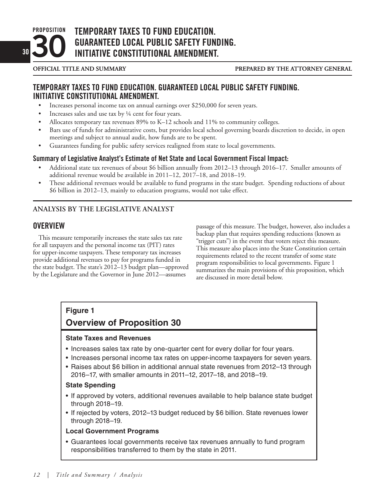**PROPOSITION <sup>30</sup>30** **TEMPORARY TAXES TO FUND EDUCATION. GUARANTEED LOCAL PUBLIC SAFETY FUNDING. INITIATIVE CONSTITUTIONAL AMENDMENT.**

# **TEMPORARY TAXES TO FUND EDUCATION. GUARANTEED LOCAL PUBLIC SAFETY FUNDING. INITIATIVE CONSTITUTIONAL AMENDMENT.**

- Increases personal income tax on annual earnings over \$250,000 for seven years.
- Increases sales and use tax by 1/4 cent for four years.
- Allocates temporary tax revenues 89% to K–12 schools and 11% to community colleges.
- Bars use of funds for administrative costs, but provides local school governing boards discretion to decide, in open meetings and subject to annual audit, how funds are to be spent.
- • Guarantees funding for public safety services realigned from state to local governments.

# **Summary of Legislative Analyst's Estimate of Net State and Local Government Fiscal Impact:**

- Additional state tax revenues of about \$6 billion annually from 2012–13 through 2016–17. Smaller amounts of additional revenue would be available in 2011–12, 2017–18, and 2018–19.
- These additional revenues would be available to fund programs in the state budget. Spending reductions of about \$6 billion in 2012–13, mainly to education programs, would not take effect.

# **ANALYSIS BY THE LEGISLATIVE ANALYST**

# **OVERVIEW**

This measure temporarily increases the state sales tax rate for all taxpayers and the personal income tax (PIT) rates for upper-income taxpayers. These temporary tax increases provide additional revenues to pay for programs funded in the state budget. The state's 2012–13 budget plan—approved by the Legislature and the Governor in June 2012—assumes

passage of this measure. The budget, however, also includes a backup plan that requires spending reductions (known as "trigger cuts") in the event that voters reject this measure. This measure also places into the State Constitution certain requirements related to the recent transfer of some state program responsibilities to local governments. Figure 1 summarizes the main provisions of this proposition, which are discussed in more detail below.

# **Figure 1**

# **Overview of Proposition 30**

# **State Taxes and Revenues**

- Increases sales tax rate by one-quarter cent for every dollar for four years.
- Increases personal income tax rates on upper-income taxpayers for seven years.
- Raises about \$6 billion in additional annual state revenues from 2012-13 through 2016–17, with smaller amounts in 2011–12, 2017–18, and 2018–19.

# **State Spending**

- If approved by voters, additional revenues available to help balance state budget through 2018–19.
- If rejected by voters, 2012–13 budget reduced by \$6 billion. State revenues lower through 2018–19.

# **Local Government Programs**

• Guarantees local governments receive tax revenues annually to fund program responsibilities transferred to them by the state in 2011.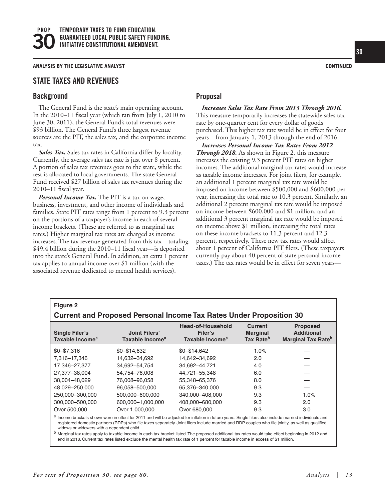**ANALYSIS BY THE LEGISLATIVE ANALYST CONTINUED**

### **STATE TAXES AND REVENUES**

#### **Background**

The General Fund is the state's main operating account. In the 2010–11 fiscal year (which ran from July 1, 2010 to June 30, 2011), the General Fund's total revenues were \$93 billion. The General Fund's three largest revenue sources are the PIT, the sales tax, and the corporate income tax.

*Sales Tax.* Sales tax rates in California differ by locality. Currently, the average sales tax rate is just over 8 percent. A portion of sales tax revenues goes to the state, while the rest is allocated to local governments. The state General Fund received \$27 billion of sales tax revenues during the 2010–11 fiscal year.

*Personal Income Tax.* The PIT is a tax on wage, business, investment, and other income of individuals and families. State PIT rates range from 1 percent to 9.3 percent on the portions of a taxpayer's income in each of several income brackets. (These are referred to as marginal tax rates.) Higher marginal tax rates are charged as income increases. The tax revenue generated from this tax—totaling \$49.4 billion during the 2010–11 fiscal year—is deposited into the state's General Fund. In addition, an extra 1 percent tax applies to annual income over \$1 million (with the associated revenue dedicated to mental health services).

# **Proposal**

*Increases Sales Tax Rate From 2013 Through 2016.* This measure temporarily increases the statewide sales tax rate by one-quarter cent for every dollar of goods purchased. This higher tax rate would be in effect for four years—from January 1, 2013 through the end of 2016.

*Increases Personal Income Tax Rates From 2012 Through 2018.* As shown in Figure 2, this measure increases the existing 9.3 percent PIT rates on higher incomes. The additional marginal tax rates would increase as taxable income increases. For joint filers, for example, an additional 1 percent marginal tax rate would be imposed on income between \$500,000 and \$600,000 per year, increasing the total rate to 10.3 percent. Similarly, an additional 2 percent marginal tax rate would be imposed on income between \$600,000 and \$1 million, and an additional 3 percent marginal tax rate would be imposed on income above \$1 million, increasing the total rates on these income brackets to 11.3 percent and 12.3 percent, respectively. These new tax rates would affect about 1 percent of California PIT filers. (These taxpayers currently pay about 40 percent of state personal income taxes.) The tax rates would be in effect for seven years—

| <b>Figure 2</b>                                                            |                                                     |                                                             |                                                            |                                                                               |  |
|----------------------------------------------------------------------------|-----------------------------------------------------|-------------------------------------------------------------|------------------------------------------------------------|-------------------------------------------------------------------------------|--|
| <b>Current and Proposed Personal Income Tax Rates Under Proposition 30</b> |                                                     |                                                             |                                                            |                                                                               |  |
| <b>Single Filer's</b><br>Taxable Income <sup>a</sup>                       | <b>Joint Filers'</b><br>Taxable Income <sup>a</sup> | Head-of-Household<br>Filer's<br>Taxable Income <sup>a</sup> | <b>Current</b><br><b>Marginal</b><br>Tax Rate <sup>b</sup> | <b>Proposed</b><br><b>Additional</b><br><b>Marginal Tax Rate</b> <sup>b</sup> |  |
| $$0 - $7.316$                                                              | $$0 - $14.632$                                      | $$0 - $14.642$                                              | 1.0%                                                       |                                                                               |  |
| 7.316-17.346                                                               | 14.632-34.692                                       | 14.642-34.692                                               | 2.0                                                        |                                                                               |  |
| 17,346-27,377                                                              | 34,692-54,754                                       | 34,692-44,721                                               | 4.0                                                        |                                                                               |  |
| 27,377-38,004                                                              | 54.754-76.008                                       | 44,721-55,348                                               | 6.0                                                        |                                                                               |  |
| 38.004-48.029                                                              | 76,008-96,058                                       | 55,348-65,376                                               | 8.0                                                        |                                                                               |  |
| 48.029-250.000                                                             | 96.058-500.000                                      | 65.376-340.000                                              | 9.3                                                        |                                                                               |  |
| 250.000-300.000                                                            | 500.000-600.000                                     | 340.000-408.000                                             | 9.3                                                        | 1.0%                                                                          |  |
| 300.000-500.000                                                            | 600.000-1.000.000                                   | 408.000-680.000                                             | 9.3                                                        | 2.0                                                                           |  |
| Over 500,000                                                               | Over 1,000,000                                      | Over 680,000                                                | 9.3                                                        | 3.0                                                                           |  |

a Income brackets shown were in effect for 2011 and will be adjusted for inflation in future years. Single filers also include married individuals and registered domestic partners (RDPs) who file taxes separately. Joint filers include married and RDP couples who file jointly, as well as qualified widows or widowers with a dependent child.

<sup>b</sup> Marginal tax rates apply to taxable income in each tax bracket listed. The proposed additional tax rates would take effect beginning in 2012 and end in 2018. Current tax rates listed exclude the mental health tax rate of 1 percent for taxable income in excess of \$1 million.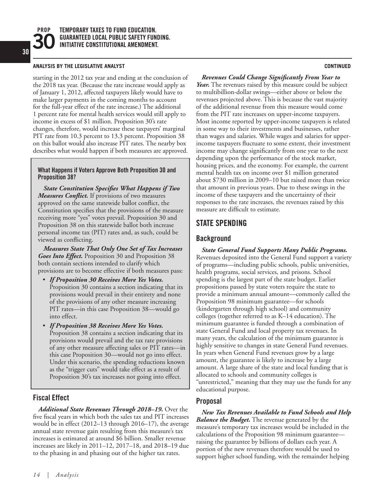**PROP**

#### **ANALYSIS BY THE LEGISLATIVE ANALYST CONTINUED**

starting in the 2012 tax year and ending at the conclusion of the 2018 tax year. (Because the rate increase would apply as of January 1, 2012, affected taxpayers likely would have to make larger payments in the coming months to account for the full-year effect of the rate increase.) The additional 1 percent rate for mental health services would still apply to income in excess of \$1 million. Proposition 30's rate changes, therefore, would increase these taxpayers' marginal PIT rate from 10.3 percent to 13.3 percent. Proposition 38 on this ballot would also increase PIT rates. The nearby box describes what would happen if both measures are approved.

#### **What Happens if Voters Approve Both Proposition 30 and Proposition 38?**

*State Constitution Specifies What Happens if Two Measures Conflict.* If provisions of two measures approved on the same statewide ballot conflict, the Constitution specifies that the provisions of the measure receiving more "yes" votes prevail. Proposition 30 and Proposition 38 on this statewide ballot both increase personal income tax (PIT) rates and, as such, could be viewed as conflicting.

*Measures State That Only One Set of Tax Increases Goes Into Effect.* Proposition 30 and Proposition 38 both contain sections intended to clarify which provisions are to become effective if both measures pass:

- *If Proposition 30 Receives More Yes Votes.* Proposition 30 contains a section indicating that its provisions would prevail in their entirety and none of the provisions of any other measure increasing PIT rates—in this case Proposition 38—would go into effect.
- • *If Proposition 38 Receives More Yes Votes.*  Proposition 38 contains a section indicating that its provisions would prevail and the tax rate provisions of any other measure affecting sales or PIT rates—in this case Proposition 30—would not go into effect. Under this scenario, the spending reductions known as the "trigger cuts" would take effect as a result of Proposition 30's tax increases not going into effect.

### **Fiscal Effect**

*Additional State Revenues Through 2018–19.* Over the five fiscal years in which both the sales tax and PIT increases would be in effect (2012–13 through 2016–17), the average annual state revenue gain resulting from this measure's tax increases is estimated at around \$6 billion. Smaller revenue increases are likely in 2011–12, 2017–18, and 2018–19 due to the phasing in and phasing out of the higher tax rates.

*Revenues Could Change Significantly From Year to Year.* The revenues raised by this measure could be subject to multibillion-dollar swings—either above or below the revenues projected above. This is because the vast majority of the additional revenue from this measure would come from the PIT rate increases on upper-income taxpayers. Most income reported by upper-income taxpayers is related in some way to their investments and businesses, rather than wages and salaries. While wages and salaries for upperincome taxpayers fluctuate to some extent, their investment income may change significantly from one year to the next depending upon the performance of the stock market, housing prices, and the economy. For example, the current mental health tax on income over \$1 million generated about \$730 million in 2009–10 but raised more than twice that amount in previous years. Due to these swings in the income of these taxpayers and the uncertainty of their responses to the rate increases, the revenues raised by this measure are difficult to estimate.

# **STATE SPENDING**

### **Background**

*State General Fund Supports Many Public Programs.*  Revenues deposited into the General Fund support a variety of programs—including public schools, public universities, health programs, social services, and prisons. School spending is the largest part of the state budget. Earlier propositions passed by state voters require the state to provide a minimum annual amount—commonly called the Proposition 98 minimum guarantee—for schools (kindergarten through high school) and community colleges (together referred to as K–14 education). The minimum guarantee is funded through a combination of state General Fund and local property tax revenues. In many years, the calculation of the minimum guarantee is highly sensitive to changes in state General Fund revenues. In years when General Fund revenues grow by a large amount, the guarantee is likely to increase by a large amount. A large share of the state and local funding that is allocated to schools and community colleges is "unrestricted," meaning that they may use the funds for any educational purpose.

### **Proposal**

*New Tax Revenues Available to Fund Schools and Help Balance the Budget.* The revenue generated by the measure's temporary tax increases would be included in the calculations of the Proposition 98 minimum guarantee raising the guarantee by billions of dollars each year. A portion of the new revenues therefore would be used to support higher school funding, with the remainder helping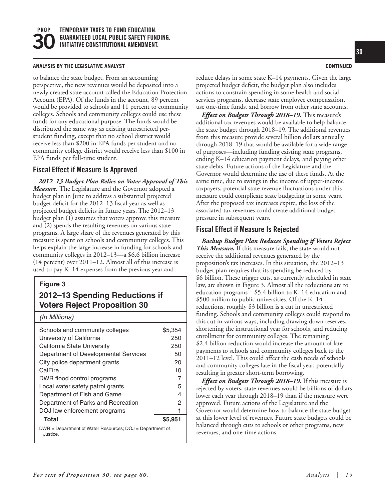#### **ANALYSIS BY THE LEGISLATIVE ANALYST CONTINUED**

to balance the state budget. From an accounting perspective, the new revenues would be deposited into a newly created state account called the Education Protection Account (EPA). Of the funds in the account, 89 percent would be provided to schools and 11 percent to community colleges. Schools and community colleges could use these funds for any educational purpose. The funds would be distributed the same way as existing unrestricted perstudent funding, except that no school district would receive less than \$200 in EPA funds per student and no community college district would receive less than \$100 in EPA funds per full-time student.

#### **Fiscal Effect if Measure Is Approved**

*2012–13 Budget Plan Relies on Voter Approval of This Measure.* The Legislature and the Governor adopted a budget plan in June to address a substantial projected budget deficit for the 2012–13 fiscal year as well as projected budget deficits in future years. The 2012–13 budget plan (1) assumes that voters approve this measure and (2) spends the resulting revenues on various state programs. A large share of the revenues generated by this measure is spent on schools and community colleges. This helps explain the large increase in funding for schools and community colleges in 2012–13—a \$6.6 billion increase (14 percent) over 2011–12. Almost all of this increase is used to pay K–14 expenses from the previous year and

#### **Figure 3**

# **2012–13 Spending Reductions if Voters Reject Proposition 30**

#### *(In Millions)*

| Schools and community colleges                                       | \$5.354 |  |  |  |
|----------------------------------------------------------------------|---------|--|--|--|
| University of California                                             | 250     |  |  |  |
| California State University                                          | 250     |  |  |  |
| Department of Developmental Services                                 | 50      |  |  |  |
| City police department grants                                        | 20      |  |  |  |
| CalFire                                                              | 10      |  |  |  |
| DWR flood control programs                                           | 7       |  |  |  |
| Local water safety patrol grants                                     | 5       |  |  |  |
| Department of Fish and Game                                          | 4       |  |  |  |
| Department of Parks and Recreation                                   | 2       |  |  |  |
| DOJ law enforcement programs                                         |         |  |  |  |
| Total                                                                | \$5.951 |  |  |  |
| DWR = Department of Water Resources; DOJ = Department of<br>Justice. |         |  |  |  |

reduce delays in some state K–14 payments. Given the large projected budget deficit, the budget plan also includes actions to constrain spending in some health and social services programs, decrease state employee compensation, use one-time funds, and borrow from other state accounts.

*Effect on Budgets Through 2018–19.* This measure's additional tax revenues would be available to help balance the state budget through 2018–19. The additional revenues from this measure provide several billion dollars annually through 2018–19 that would be available for a wide range of purposes—including funding existing state programs, ending K–14 education payment delays, and paying other state debts. Future actions of the Legislature and the Governor would determine the use of these funds. At the same time, due to swings in the income of upper-income taxpayers, potential state revenue fluctuations under this measure could complicate state budgeting in some years. After the proposed tax increases expire, the loss of the associated tax revenues could create additional budget pressure in subsequent years.

#### **Fiscal Effect if Measure Is Rejected**

*Backup Budget Plan Reduces Spending if Voters Reject This Measure.* If this measure fails, the state would not receive the additional revenues generated by the proposition's tax increases. In this situation, the 2012–13 budget plan requires that its spending be reduced by \$6 billion. These trigger cuts, as currently scheduled in state law, are shown in Figure 3. Almost all the reductions are to education programs—\$5.4 billion to K–14 education and \$500 million to public universities. Of the K–14 reductions, roughly \$3 billion is a cut in unrestricted funding. Schools and community colleges could respond to this cut in various ways, including drawing down reserves, shortening the instructional year for schools, and reducing enrollment for community colleges. The remaining \$2.4 billion reduction would increase the amount of late payments to schools and community colleges back to the 2011–12 level. This could affect the cash needs of schools and community colleges late in the fiscal year, potentially resulting in greater short-term borrowing.

*Effect on Budgets Through 2018–19.* If this measure is rejected by voters, state revenues would be billions of dollars lower each year through 2018–19 than if the measure were approved. Future actions of the Legislature and the Governor would determine how to balance the state budget at this lower level of revenues. Future state budgets could be balanced through cuts to schools or other programs, new revenues, and one-time actions.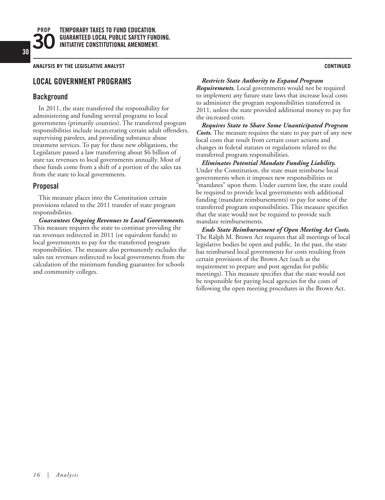**PROP**

**ANALYSIS BY THE LEGISLATIVE ANALYST CONTINUED**

# **LOCAL GOVERNMENT PROGRAMS**

# **Background**

In 2011, the state transferred the responsibility for administering and funding several programs to local governments (primarily counties). The transferred program responsibilities include incarcerating certain adult offenders, supervising parolees, and providing substance abuse treatment services. To pay for these new obligations, the Legislature passed a law transferring about \$6 billion of state tax revenues to local governments annually. Most of these funds come from a shift of a portion of the sales tax from the state to local governments.

# **Proposal**

This measure places into the Constitution certain provisions related to the 2011 transfer of state program responsibilities.

*Guarantees Ongoing Revenues to Local Governments.*  This measure requires the state to continue providing the tax revenues redirected in 2011 (or equivalent funds) to local governments to pay for the transferred program responsibilities. The measure also permanently excludes the sales tax revenues redirected to local governments from the calculation of the minimum funding guarantee for schools and community colleges.

#### *Restricts State Authority to Expand Program*

*Requirements.* Local governments would not be required to implement any future state laws that increase local costs to administer the program responsibilities transferred in 2011, unless the state provided additional money to pay for the increased costs.

*Requires State to Share Some Unanticipated Program Costs.* The measure requires the state to pay part of any new local costs that result from certain court actions and changes in federal statutes or regulations related to the transferred program responsibilities.

*Eliminates Potential Mandate Funding Liability.* Under the Constitution, the state must reimburse local governments when it imposes new responsibilities or "mandates" upon them. Under current law, the state could be required to provide local governments with additional funding (mandate reimbursements) to pay for some of the transferred program responsibilities. This measure specifies that the state would not be required to provide such mandate reimbursements.

*Ends State Reimbursement of Open Meeting Act Costs.* The Ralph M. Brown Act requires that all meetings of local legislative bodies be open and public. In the past, the state has reimbursed local governments for costs resulting from certain provisions of the Brown Act (such as the requirement to prepare and post agendas for public meetings). This measure specifies that the state would not be responsible for paying local agencies for the costs of following the open meeting procedures in the Brown Act.